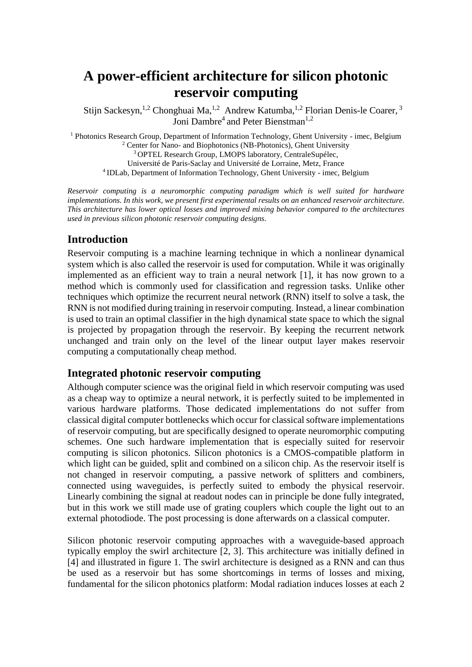# **A power-efficient architecture for silicon photonic reservoir computing**

Stijn Sackesyn,<sup>1,2</sup> Chonghuai Ma,<sup>1,2</sup> Andrew Katumba,<sup>1,2</sup> [Florian Denis-le Coarer,](https://www.researchgate.net/scientific-contributions/2121323698_Florian_Denis-le_Coarer)<sup>3</sup> Joni Dambre<sup>4</sup> and Peter Bienstman<sup>1,2</sup>

 Photonics Research Group, Department of Information Technology, Ghent University - imec, Belgium Center for Nano- and Biophotonics (NB-Photonics), Ghent University OPTEL Research Group, LMOPS laboratory, CentraleSupélec, Université de Paris-Saclay and Université de Lorraine, Metz, France IDLab, Department of Information Technology, Ghent University - imec, Belgium

*Reservoir computing is a neuromorphic computing paradigm which is well suited for hardware implementations. In this work, we present first experimental results on an enhanced reservoir architecture. This architecture has lower optical losses and improved mixing behavior compared to the architectures used in previous silicon photonic reservoir computing designs.*

## **Introduction**

Reservoir computing is a machine learning technique in which a nonlinear dynamical system which is also called the reservoir is used for computation. While it was originally implemented as an efficient way to train a neural network [1], it has now grown to a method which is commonly used for classification and regression tasks. Unlike other techniques which optimize the recurrent neural network (RNN) itself to solve a task, the RNN is not modified during training in reservoir computing. Instead, a linear combination is used to train an optimal classifier in the high dynamical state space to which the signal is projected by propagation through the reservoir. By keeping the recurrent network unchanged and train only on the level of the linear output layer makes reservoir computing a computationally cheap method.

### **Integrated photonic reservoir computing**

Although computer science was the original field in which reservoir computing was used as a cheap way to optimize a neural network, it is perfectly suited to be implemented in various hardware platforms. Those dedicated implementations do not suffer from classical digital computer bottlenecks which occur for classical software implementations of reservoir computing, but are specifically designed to operate neuromorphic computing schemes. One such hardware implementation that is especially suited for reservoir computing is silicon photonics. Silicon photonics is a CMOS-compatible platform in which light can be guided, split and combined on a silicon chip. As the reservoir itself is not changed in reservoir computing, a passive network of splitters and combiners, connected using waveguides, is perfectly suited to embody the physical reservoir. Linearly combining the signal at readout nodes can in principle be done fully integrated, but in this work we still made use of grating couplers which couple the light out to an external photodiode. The post processing is done afterwards on a classical computer.

Silicon photonic reservoir computing approaches with a waveguide-based approach typically employ the swirl architecture [2, 3]. This architecture was initially defined in [4] and illustrated in figure 1. The swirl architecture is designed as a RNN and can thus be used as a reservoir but has some shortcomings in terms of losses and mixing, fundamental for the silicon photonics platform: Modal radiation induces losses at each 2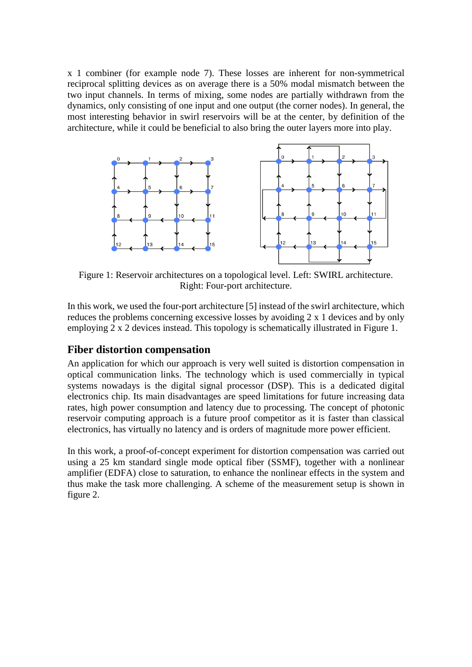x 1 combiner (for example node 7). These losses are inherent for non-symmetrical reciprocal splitting devices as on average there is a 50% modal mismatch between the two input channels. In terms of mixing, some nodes are partially withdrawn from the dynamics, only consisting of one input and one output (the corner nodes). In general, the most interesting behavior in swirl reservoirs will be at the center, by definition of the architecture, while it could be beneficial to also bring the outer layers more into play.



Figure 1: Reservoir architectures on a topological level. Left: SWIRL architecture. Right: Four-port architecture.

In this work, we used the four-port architecture [5] instead of the swirl architecture, which reduces the problems concerning excessive losses by avoiding 2 x 1 devices and by only employing 2 x 2 devices instead. This topology is schematically illustrated in Figure 1.

### **Fiber distortion compensation**

An application for which our approach is very well suited is distortion compensation in optical communication links. The technology which is used commercially in typical systems nowadays is the digital signal processor (DSP). This is a dedicated digital electronics chip. Its main disadvantages are speed limitations for future increasing data rates, high power consumption and latency due to processing. The concept of photonic reservoir computing approach is a future proof competitor as it is faster than classical electronics, has virtually no latency and is orders of magnitude more power efficient.

In this work, a proof-of-concept experiment for distortion compensation was carried out using a 25 km standard single mode optical fiber (SSMF), together with a nonlinear amplifier (EDFA) close to saturation, to enhance the nonlinear effects in the system and thus make the task more challenging. A scheme of the measurement setup is shown in figure 2.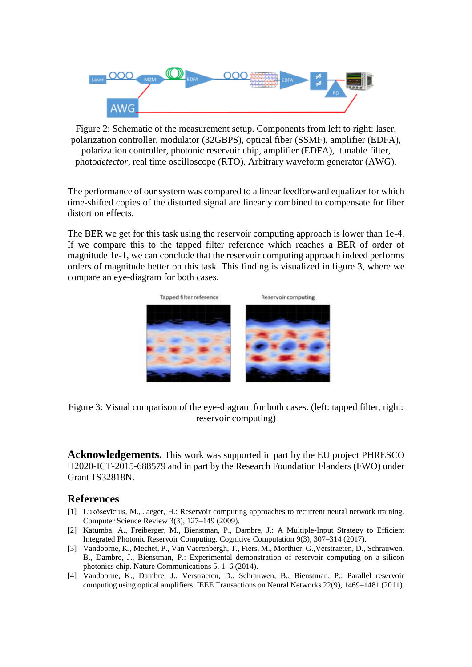

Figure 2: Schematic of the measurement setup. Components from left to right: laser, polarization controller, modulator (32GBPS), optical fiber (SSMF), amplifier (EDFA), polarization controller, photonic reservoir chip, amplifier (EDFA), tunable filter, photo*detector*, real time oscilloscope (RTO). Arbitrary waveform generator (AWG).

The performance of our system was compared to a linear feedforward equalizer for which time-shifted copies of the distorted signal are linearly combined to compensate for fiber distortion effects.

The BER we get for this task using the reservoir computing approach is lower than 1e-4. If we compare this to the tapped filter reference which reaches a BER of order of magnitude 1e-1, we can conclude that the reservoir computing approach indeed performs orders of magnitude better on this task. This finding is visualized in figure 3, where we compare an eye-diagram for both cases.



Figure 3: Visual comparison of the eye-diagram for both cases. (left: tapped filter, right: reservoir computing)

**Acknowledgements.** This work was supported in part by the EU project PHRESCO H2020-ICT-2015-688579 and in part by the Research Foundation Flanders (FWO) under Grant 1S32818N.

### **References**

- [1] Lukŏsevĭcius, M., Jaeger, H.: Reservoir computing approaches to recurrent neural network training. Computer Science Review 3(3), 127–149 (2009).
- [2] Katumba, A., Freiberger, M., Bienstman, P., Dambre, J.: A Multiple-Input Strategy to Efficient Integrated Photonic Reservoir Computing. Cognitive Computation 9(3), 307–314 (2017).
- [3] Vandoorne, K., Mechet, P., Van Vaerenbergh, T., Fiers, M., Morthier, G.,Verstraeten, D., Schrauwen, B., Dambre, J., Bienstman, P.: Experimental demonstration of reservoir computing on a silicon photonics chip. Nature Communications 5, 1–6 (2014).
- [4] Vandoorne, K., Dambre, J., Verstraeten, D., Schrauwen, B., Bienstman, P.: Parallel reservoir computing using optical amplifiers. IEEE Transactions on Neural Networks 22(9), 1469–1481 (2011).